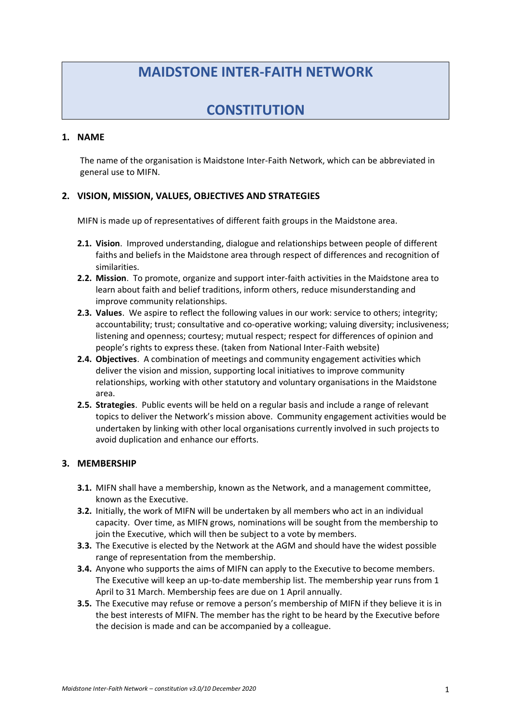# **MAIDSTONE INTER-FAITH NETWORK**

# **CONSTITUTION**

### **1. NAME**

The name of the organisation is Maidstone Inter-Faith Network, which can be abbreviated in general use to MIFN.

# **2. VISION, MISSION, VALUES, OBJECTIVES AND STRATEGIES**

MIFN is made up of representatives of different faith groups in the Maidstone area.

- **2.1. Vision**. Improved understanding, dialogue and relationships between people of different faiths and beliefs in the Maidstone area through respect of differences and recognition of similarities.
- **2.2. Mission**. To promote, organize and support inter-faith activities in the Maidstone area to learn about faith and belief traditions, inform others, reduce misunderstanding and improve community relationships.
- **2.3. Values**. We aspire to reflect the following values in our work: service to others; integrity; accountability; trust; consultative and co-operative working; valuing diversity; inclusiveness; listening and openness; courtesy; mutual respect; respect for differences of opinion and people's rights to express these. (taken from National Inter-Faith website)
- **2.4. Objectives**. A combination of meetings and community engagement activities which deliver the vision and mission, supporting local initiatives to improve community relationships, working with other statutory and voluntary organisations in the Maidstone area.
- **2.5. Strategies**. Public events will be held on a regular basis and include a range of relevant topics to deliver the Network's mission above. Community engagement activities would be undertaken by linking with other local organisations currently involved in such projects to avoid duplication and enhance our efforts.

### **3. MEMBERSHIP**

- **3.1.** MIFN shall have a membership, known as the Network, and a management committee, known as the Executive.
- **3.2.** Initially, the work of MIFN will be undertaken by all members who act in an individual capacity. Over time, as MIFN grows, nominations will be sought from the membership to join the Executive, which will then be subject to a vote by members.
- **3.3.** The Executive is elected by the Network at the AGM and should have the widest possible range of representation from the membership.
- **3.4.** Anyone who supports the aims of MIFN can apply to the Executive to become members. The Executive will keep an up-to-date membership list. The membership year runs from 1 April to 31 March. Membership fees are due on 1 April annually.
- **3.5.** The Executive may refuse or remove a person's membership of MIFN if they believe it is in the best interests of MIFN. The member has the right to be heard by the Executive before the decision is made and can be accompanied by a colleague.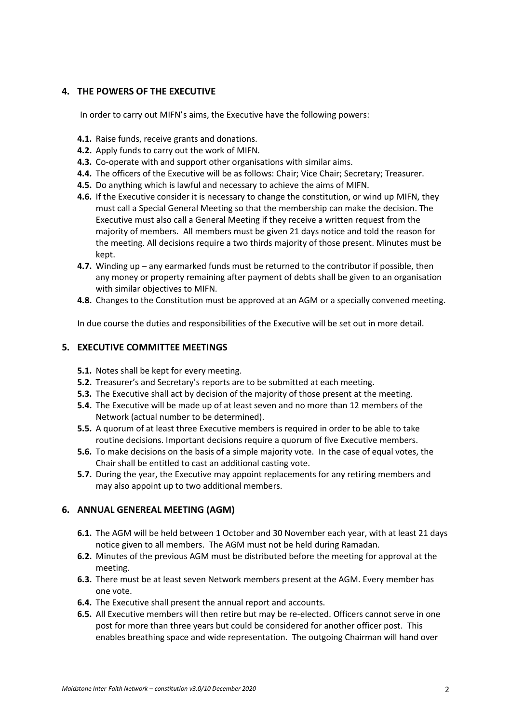# **4. THE POWERS OF THE EXECUTIVE**

In order to carry out MIFN's aims, the Executive have the following powers:

- **4.1.** Raise funds, receive grants and donations.
- **4.2.** Apply funds to carry out the work of MIFN.
- **4.3.** Co-operate with and support other organisations with similar aims.
- **4.4.** The officers of the Executive will be as follows: Chair; Vice Chair; Secretary; Treasurer.
- **4.5.** Do anything which is lawful and necessary to achieve the aims of MIFN.
- **4.6.** If the Executive consider it is necessary to change the constitution, or wind up MIFN, they must call a Special General Meeting so that the membership can make the decision. The Executive must also call a General Meeting if they receive a written request from the majority of members. All members must be given 21 days notice and told the reason for the meeting. All decisions require a two thirds majority of those present. Minutes must be kept.
- **4.7.** Winding up any earmarked funds must be returned to the contributor if possible, then any money or property remaining after payment of debts shall be given to an organisation with similar objectives to MIFN.
- **4.8.** Changes to the Constitution must be approved at an AGM or a specially convened meeting.

In due course the duties and responsibilities of the Executive will be set out in more detail.

# **5. EXECUTIVE COMMITTEE MEETINGS**

- **5.1.** Notes shall be kept for every meeting.
- **5.2.** Treasurer's and Secretary's reports are to be submitted at each meeting.
- **5.3.** The Executive shall act by decision of the majority of those present at the meeting.
- **5.4.** The Executive will be made up of at least seven and no more than 12 members of the Network (actual number to be determined).
- **5.5.** A quorum of at least three Executive members is required in order to be able to take routine decisions. Important decisions require a quorum of five Executive members.
- **5.6.** To make decisions on the basis of a simple majority vote. In the case of equal votes, the Chair shall be entitled to cast an additional casting vote.
- **5.7.** During the year, the Executive may appoint replacements for any retiring members and may also appoint up to two additional members.

# **6. ANNUAL GENEREAL MEETING (AGM)**

- **6.1.** The AGM will be held between 1 October and 30 November each year, with at least 21 days notice given to all members. The AGM must not be held during Ramadan.
- **6.2.** Minutes of the previous AGM must be distributed before the meeting for approval at the meeting.
- **6.3.** There must be at least seven Network members present at the AGM. Every member has one vote.
- **6.4.** The Executive shall present the annual report and accounts.
- **6.5.** All Executive members will then retire but may be re-elected. Officers cannot serve in one post for more than three years but could be considered for another officer post. This enables breathing space and wide representation. The outgoing Chairman will hand over